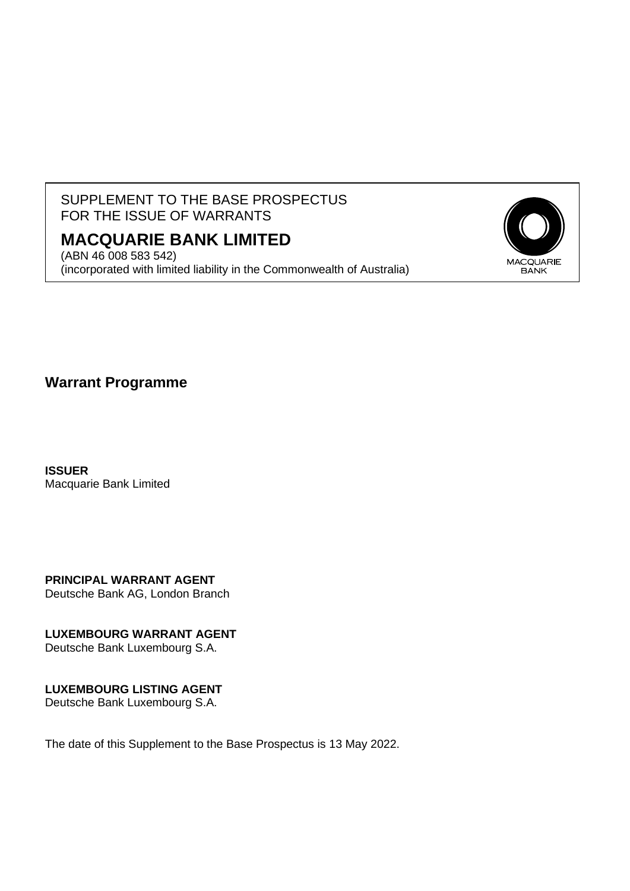## SUPPLEMENT TO THE BASE PROSPECTUS FOR THE ISSUE OF WARRANTS

# **MACQUARIE BANK LIMITED**

(ABN 46 008 583 542) (incorporated with limited liability in the Commonwealth of Australia)



**Warrant Programme**

**ISSUER** Macquarie Bank Limited

**PRINCIPAL WARRANT AGENT** Deutsche Bank AG, London Branch

**LUXEMBOURG WARRANT AGENT**

Deutsche Bank Luxembourg S.A.

## **LUXEMBOURG LISTING AGENT**

Deutsche Bank Luxembourg S.A.

The date of this Supplement to the Base Prospectus is 13 May 2022.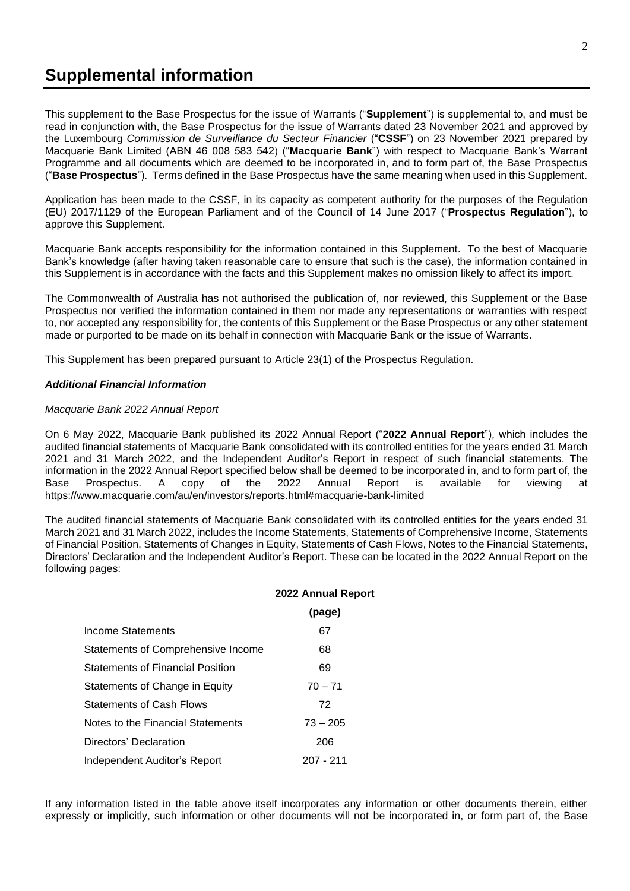# **Supplemental information**

This supplement to the Base Prospectus for the issue of Warrants ("**Supplement**") is supplemental to, and must be read in conjunction with, the Base Prospectus for the issue of Warrants dated 23 November 2021 and approved by the Luxembourg *Commission de Surveillance du Secteur Financier* ("**CSSF**") on 23 November 2021 prepared by Macquarie Bank Limited (ABN 46 008 583 542) ("**Macquarie Bank**") with respect to Macquarie Bank's Warrant Programme and all documents which are deemed to be incorporated in, and to form part of, the Base Prospectus ("**Base Prospectus**"). Terms defined in the Base Prospectus have the same meaning when used in this Supplement.

Application has been made to the CSSF, in its capacity as competent authority for the purposes of the Regulation (EU) 2017/1129 of the European Parliament and of the Council of 14 June 2017 ("**Prospectus Regulation**"), to approve this Supplement.

Macquarie Bank accepts responsibility for the information contained in this Supplement. To the best of Macquarie Bank's knowledge (after having taken reasonable care to ensure that such is the case), the information contained in this Supplement is in accordance with the facts and this Supplement makes no omission likely to affect its import.

The Commonwealth of Australia has not authorised the publication of, nor reviewed, this Supplement or the Base Prospectus nor verified the information contained in them nor made any representations or warranties with respect to, nor accepted any responsibility for, the contents of this Supplement or the Base Prospectus or any other statement made or purported to be made on its behalf in connection with Macquarie Bank or the issue of Warrants.

This Supplement has been prepared pursuant to Article 23(1) of the Prospectus Regulation.

#### *Additional Financial Information*

#### *Macquarie Bank 2022 Annual Report*

On 6 May 2022, Macquarie Bank published its 2022 Annual Report ("**2022 Annual Report**"), which includes the audited financial statements of Macquarie Bank consolidated with its controlled entities for the years ended 31 March 2021 and 31 March 2022, and the Independent Auditor's Report in respect of such financial statements. The information in the 2022 Annual Report specified below shall be deemed to be incorporated in, and to form part of, the Base Prospectus. A copy of the 2022 Annual Report is available for viewing at https://www.macquarie.com/au/en/investors/reports.html#macquarie-bank-limited

The audited financial statements of Macquarie Bank consolidated with its controlled entities for the years ended 31 March 2021 and 31 March 2022, includes the Income Statements, Statements of Comprehensive Income, Statements of Financial Position, Statements of Changes in Equity, Statements of Cash Flows, Notes to the Financial Statements, Directors' Declaration and the Independent Auditor's Report. These can be located in the 2022 Annual Report on the following pages:

|                                         | 2022 Annual Report |
|-----------------------------------------|--------------------|
|                                         | (page)             |
| Income Statements                       | 67                 |
| Statements of Comprehensive Income      | 68                 |
| <b>Statements of Financial Position</b> | 69                 |
| Statements of Change in Equity          | $70 - 71$          |
| <b>Statements of Cash Flows</b>         | 72                 |
| Notes to the Financial Statements       | $73 - 205$         |
| Directors' Declaration                  | 206                |
| Independent Auditor's Report            | $207 - 211$        |

If any information listed in the table above itself incorporates any information or other documents therein, either expressly or implicitly, such information or other documents will not be incorporated in, or form part of, the Base